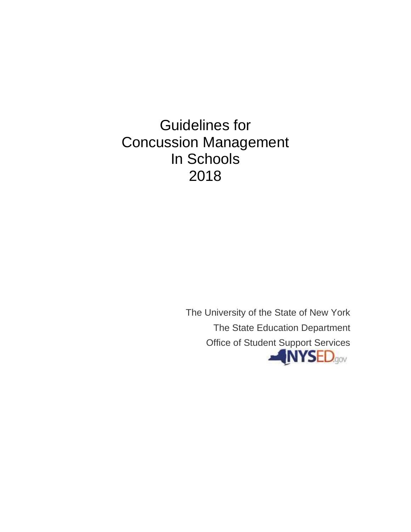Guidelines for Concussion Management In Schools 2018

> The University of the State of New York The State Education Department Office of Student Support Services**NYSED.gov**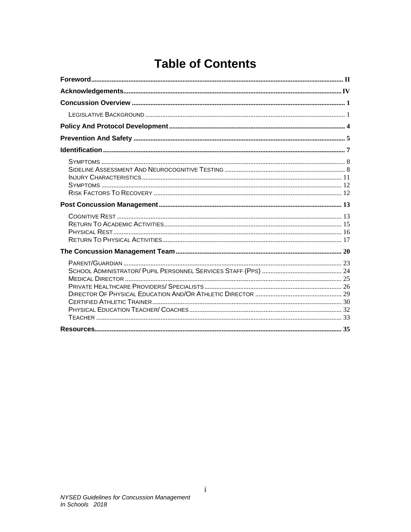# **Table of Contents**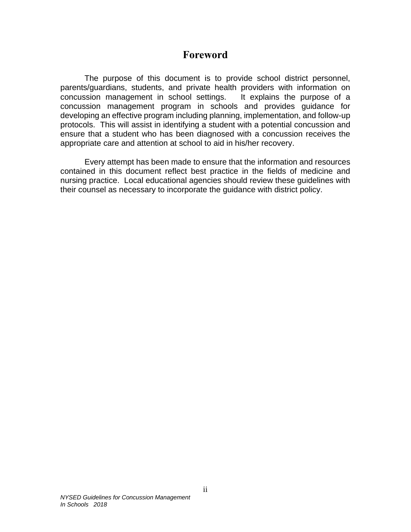## **Foreword**

<span id="page-2-0"></span>The purpose of this document is to provide school district personnel, parents/guardians, students, and private health providers with information on concussion management in school settings. It explains the purpose of a concussion management program in schools and provides guidance for developing an effective program including planning, implementation, and follow-up protocols. This will assist in identifying a student with a potential concussion and ensure that a student who has been diagnosed with a concussion receives the appropriate care and attention at school to aid in his/her recovery.

Every attempt has been made to ensure that the information and resources contained in this document reflect best practice in the fields of medicine and nursing practice. Local educational agencies should review these guidelines with their counsel as necessary to incorporate the guidance with district policy.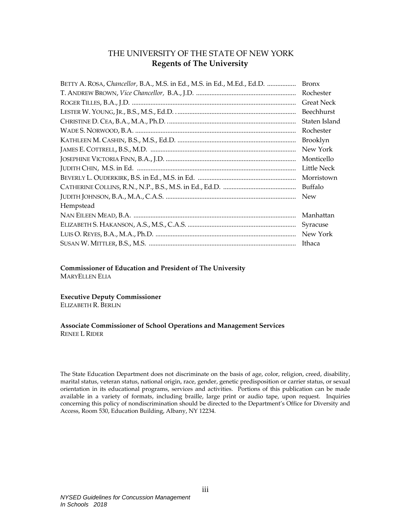### THE UNIVERSITY OF THE STATE OF NEW YORK **Regents of The University**

| BETTY A. ROSA, Chancellor, B.A., M.S. in Ed., M.S. in Ed., M.Ed., Ed.D. | <b>Bronx</b>      |
|-------------------------------------------------------------------------|-------------------|
|                                                                         | Rochester         |
|                                                                         | <b>Great Neck</b> |
|                                                                         | Beechhurst        |
|                                                                         | Staten Island     |
|                                                                         | Rochester         |
|                                                                         | Brooklyn          |
|                                                                         | New York          |
|                                                                         | Monticello        |
|                                                                         | Little Neck       |
|                                                                         | Morristown        |
|                                                                         | Buffalo           |
|                                                                         | <b>New</b>        |
| Hempstead                                                               |                   |
|                                                                         | Manhattan         |
|                                                                         | Syracuse          |
|                                                                         | New York          |
|                                                                         | Ithaca            |

**Commissioner of Education and President of The University** MARYELLEN ELIA

**Executive Deputy Commissioner**

ELIZABETH R. BERLIN

### **Associate Commissioner of School Operations and Management Services** RENEE L RIDER

The State Education Department does not discriminate on the basis of age, color, religion, creed, disability, marital status, veteran status, national origin, race, gender, genetic predisposition or carrier status, or sexual orientation in its educational programs, services and activities. Portions of this publication can be made available in a variety of formats, including braille, large print or audio tape, upon request. Inquiries concerning this policy of nondiscrimination should be directed to the Department's Office for Diversity and Access, Room 530, Education Building, Albany, NY 12234.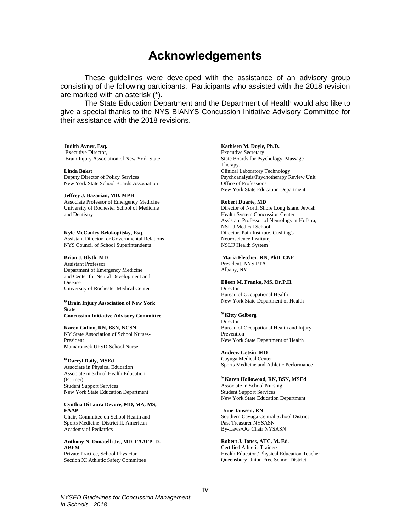# **Acknowledgements**

<span id="page-4-0"></span>These guidelines were developed with the assistance of an advisory group consisting of the following participants. Participants who assisted with the 2018 revision are marked with an asterisk (\*).

The State Education Department and the Department of Health would also like to give a special thanks to the NYS BIANYS Concussion Initiative Advisory Committee for their assistance with the 2018 revisions.

#### **Judith Avner, Esq.**

Executive Director, Brain Injury Association of New York State.

**Linda Bakst** Deputy Director of Policy Services New York State School Boards Association

**Jeffrey J. Bazarian, MD, MPH** Associate Professor of Emergency Medicine University of Rochester School of Medicine and Dentistry

**Kyle McCauley Belokopitsky, Esq**. Assistant Director for Governmental Relations NYS Council of School Superintendents

#### **Brian J. Blyth, MD**

Assistant Professor Department of Emergency Medicine and Center for Neural Development and Disease University of Rochester Medical Center

#### **\*Brain Injury Association of New York State**

**Concussion Initiative Advisory Committee**

**Karen Cofino, RN, BSN, NCSN**

NY State Association of School Nurses-President Mamaroneck UFSD-School Nurse

### **\*Darryl Daily, MSEd**

Associate in Physical Education Associate in School Health Education (Former) Student Support Services New York State Education Department

#### **Cynthia DiLaura Devore, MD, MA, MS, FAAP**

Chair, Committee on School Health and Sports Medicine, District II, American Academy of Pediatrics

### **Anthony N. Donatelli Jr., MD, FAAFP, D-ABFM**

Private Practice, School Physician Section XI Athletic Safety Committee

#### **Kathleen M. Doyle, Ph.D.**

Executive Secretary State Boards for Psychology, Massage Therapy, Clinical Laboratory Technology Psychoanalysis/Psychotherapy Review Unit Office of Professions New York State Education Department

#### **Robert Duarte, MD**

Director of North Shore Long Island Jewish Health System Concussion Center Assistant Professor of Neurology at Hofstra, NSLIJ Medical School Director, Pain Institute, Cushing's Neuroscience Institute, NSLIJ Health System

**Maria Fletcher, RN, PhD, CNE** President, NYS PTA Albany, NY

#### **Eileen M. Franko, MS, Dr.P.H.**

Director Bureau of Occupational Health New York State Department of Health

### **\*Kitty Gelberg**

Director Bureau of Occupational Health and Injury Prevention New York State Department of Health

**Andrew Getzin, MD** Cayuga Medical Center Sports Medicine and Athletic Performance

#### **\*Karen Hollowood, RN, BSN, MSEd** Associate in School Nursing

Student Support Services New York State Education Department

**June Janssen, RN** Southern Cayuga Central School District Past Treasurer NYSASN By-Laws/OG Chair NYSASN

**Robert J. Jones, ATC, M. Ed**. Certified Athletic Trainer/ Health Educator / Physical Education Teacher Queensbury Union Free School District

*NYSED Guidelines for Concussion Management In Schools 2018*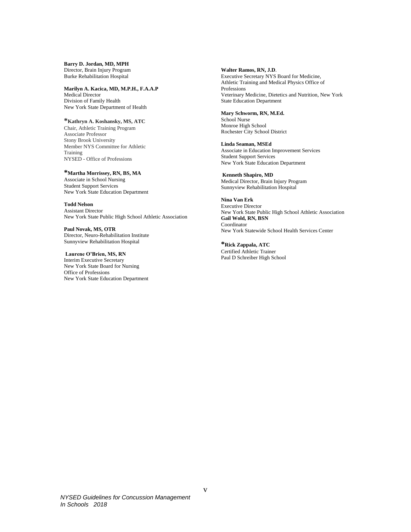**Barry D. Jordan, MD, MPH** Director, Brain Injury Program Burke Rehabilitation Hospital

**Marilyn A. Kacica, MD, M.P.H., F.A.A.P** Medical Director Division of Family Health New York State Department of Health

**\*Kathryn A. Koshansky, MS, ATC**

Chair, Athletic Training Program Associate Professor Stony Brook University Member NYS Committee for Athletic Training NYSED - Office of Professions

### **\*Martha Morrissey, RN, BS, MA**

Associate in School Nursing Student Support Services New York State Education Department

**Todd Nelson** Assistant Director New York State Public High School Athletic Association

**Paul Novak, MS, OTR** Director, Neuro-Rehabilitation Institute Sunnyview Rehabilitation Hospital

**Laurene O'Brien, MS, RN**

Interim Executive Secretary New York State Board for Nursing Office of Professions New York State Education Department **Walter Ramos, RN, J.D**.

Executive Secretary NYS Board for Medicine, Athletic Training and Medical Physics Office of Professions Veterinary Medicine, Dietetics and Nutrition, New York State Education Department

#### **Mary Schworm, RN, M.Ed.**

School Nurse Monroe High School Rochester City School District

**Linda Seaman, MSEd** Associate in Education Improvement Services Student Support Services New York State Education Department

**Kenneth Shapiro, MD** Medical Director, Brain Injury Program Sunnyview Rehabilitation Hospital

**Nina Van Erk** Executive Director New York State Public High School Athletic Association **Gail Wold, RN, BSN** Coordinator New York Statewide School Health Services Center

**\*Rick Zappala, ATC** Certified Athletic Trainer Paul D Schreiber High School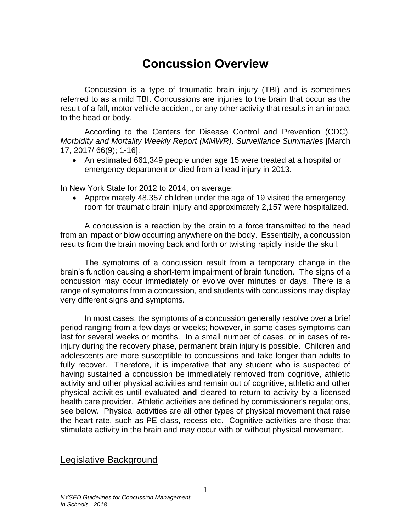# **Concussion Overview**

<span id="page-6-0"></span>Concussion is a type of traumatic brain injury (TBI) and is sometimes referred to as a mild TBI. Concussions are injuries to the brain that occur as the result of a fall, motor vehicle accident, or any other activity that results in an impact to the head or body.

According to the Centers for Disease Control and Prevention (CDC), *Morbidity and Mortality Weekly Report (MMWR), Surveillance Summaries* [March 17, 2017/ 66(9); 1-16]:

• An estimated 661,349 people under age 15 were treated at a hospital or emergency department or died from a head injury in 2013.

In New York State for 2012 to 2014, on average:

• Approximately 48,357 children under the age of 19 visited the emergency room for traumatic brain injury and approximately 2,157 were hospitalized.

A concussion is a reaction by the brain to a force transmitted to the head from an impact or blow occurring anywhere on the body. Essentially, a concussion results from the brain moving back and forth or twisting rapidly inside the skull.

The symptoms of a concussion result from a temporary change in the brain's function causing a short-term impairment of brain function. The signs of a concussion may occur immediately or evolve over minutes or days. There is a range of symptoms from a concussion, and students with concussions may display very different signs and symptoms.

In most cases, the symptoms of a concussion generally resolve over a brief period ranging from a few days or weeks; however, in some cases symptoms can last for several weeks or months. In a small number of cases, or in cases of reinjury during the recovery phase, permanent brain injury is possible. Children and adolescents are more susceptible to concussions and take longer than adults to fully recover. Therefore, it is imperative that any student who is suspected of having sustained a concussion be immediately removed from cognitive, athletic activity and other physical activities and remain out of cognitive, athletic and other physical activities until evaluated **and** cleared to return to activity by a licensed health care provider. Athletic activities are defined by commissioner's regulations, see below. Physical activities are all other types of physical movement that raise the heart rate, such as PE class, recess etc. Cognitive activities are those that stimulate activity in the brain and may occur with or without physical movement.

## <span id="page-6-1"></span>Legislative Background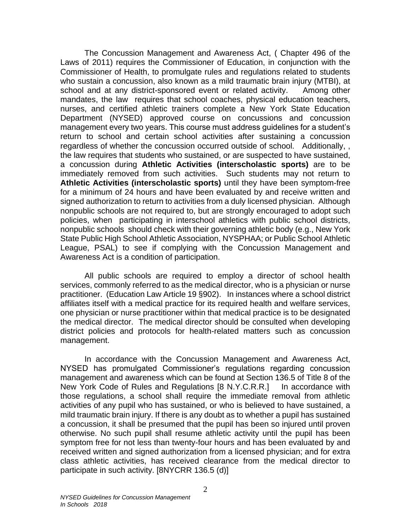The Concussion Management and Awareness Act, ( Chapter 496 of the Laws of 2011) requires the Commissioner of Education, in conjunction with the Commissioner of Health, to promulgate rules and regulations related to students who sustain a concussion, also known as a mild traumatic brain injury (MTBI), at school and at any district-sponsored event or related activity. Among other mandates, the law requires that school coaches, physical education teachers, nurses, and certified athletic trainers complete a New York State Education Department (NYSED) approved course on concussions and concussion management every two years. This course must address guidelines for a student's return to school and certain school activities after sustaining a concussion regardless of whether the concussion occurred outside of school. Additionally, , the law requires that students who sustained, or are suspected to have sustained, a concussion during **Athletic Activities (interscholastic sports)** are to be immediately removed from such activities. Such students may not return to **Athletic Activities (interscholastic sports)** until they have been symptom-free for a minimum of 24 hours and have been evaluated by and receive written and signed authorization to return to activities from a duly licensed physician. Although nonpublic schools are not required to, but are strongly encouraged to adopt such policies, when participating in interschool athletics with public school districts, nonpublic schools should check with their governing athletic body (e.g., New York State Public High School Athletic Association, NYSPHAA; or Public School Athletic League, PSAL) to see if complying with the Concussion Management and Awareness Act is a condition of participation.

All public schools are required to employ a director of school health services, commonly referred to as the medical director, who is a physician or nurse practitioner. (Education Law Article 19 §902). In instances where a school district affiliates itself with a medical practice for its required health and welfare services, one physician or nurse practitioner within that medical practice is to be designated the medical director. The medical director should be consulted when developing district policies and protocols for health-related matters such as concussion management.

In accordance with the Concussion Management and Awareness Act, NYSED has promulgated Commissioner's regulations regarding concussion management and awareness which can be found at Section 136.5 of Title 8 of the New York Code of Rules and Regulations [8 N.Y.C.R.R.] In accordance with those regulations, a school shall require the immediate removal from athletic activities of any pupil who has sustained, or who is believed to have sustained, a mild traumatic brain injury. If there is any doubt as to whether a pupil has sustained a concussion, it shall be presumed that the pupil has been so injured until proven otherwise. No such pupil shall resume athletic activity until the pupil has been symptom free for not less than twenty-four hours and has been evaluated by and received written and signed authorization from a licensed physician; and for extra class athletic activities, has received clearance from the medical director to participate in such activity. [8NYCRR 136.5 (d)]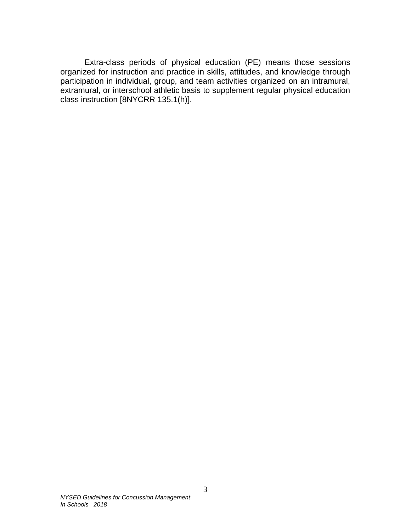Extra-class periods of physical education (PE) means those sessions organized for instruction and practice in skills, attitudes, and knowledge through participation in individual, group, and team activities organized on an intramural, extramural, or interschool athletic basis to supplement regular physical education class instruction [8NYCRR 135.1(h)].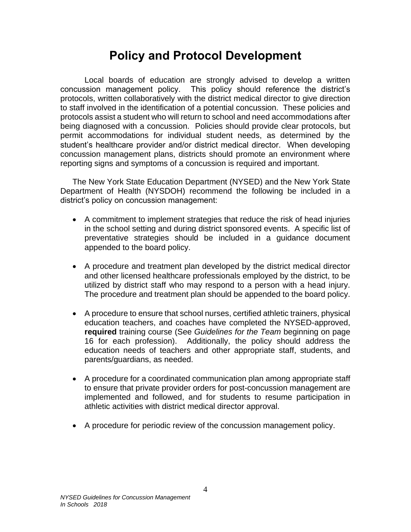# **Policy and Protocol Development**

<span id="page-9-0"></span>Local boards of education are strongly advised to develop a written concussion management policy. This policy should reference the district's protocols, written collaboratively with the district medical director to give direction to staff involved in the identification of a potential concussion. These policies and protocols assist a student who will return to school and need accommodations after being diagnosed with a concussion. Policies should provide clear protocols, but permit accommodations for individual student needs, as determined by the student's healthcare provider and/or district medical director. When developing concussion management plans, districts should promote an environment where reporting signs and symptoms of a concussion is required and important.

The New York State Education Department (NYSED) and the New York State Department of Health (NYSDOH) recommend the following be included in a district's policy on concussion management:

- A commitment to implement strategies that reduce the risk of head injuries in the school setting and during district sponsored events. A specific list of preventative strategies should be included in a guidance document appended to the board policy.
- A procedure and treatment plan developed by the district medical director and other licensed healthcare professionals employed by the district, to be utilized by district staff who may respond to a person with a head injury. The procedure and treatment plan should be appended to the board policy.
- A procedure to ensure that school nurses, certified athletic trainers, physical education teachers, and coaches have completed the NYSED-approved, **required** training course (See *Guidelines for the Team* beginning on page 16 for each profession). Additionally, the policy should address the education needs of teachers and other appropriate staff, students, and parents/guardians, as needed.
- A procedure for a coordinated communication plan among appropriate staff to ensure that private provider orders for post-concussion management are implemented and followed, and for students to resume participation in athletic activities with district medical director approval.
- A procedure for periodic review of the concussion management policy.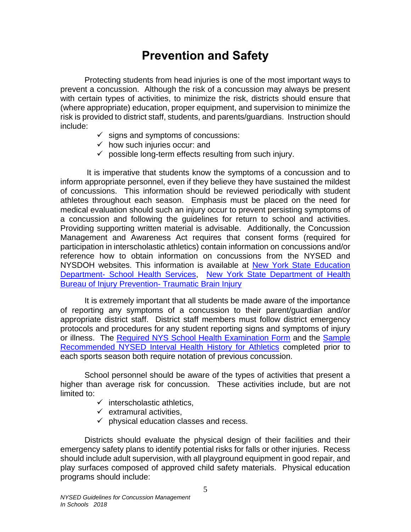# **Prevention and Safety**

<span id="page-10-0"></span>Protecting students from head injuries is one of the most important ways to prevent a concussion. Although the risk of a concussion may always be present with certain types of activities, to minimize the risk, districts should ensure that (where appropriate) education, proper equipment, and supervision to minimize the risk is provided to district staff, students, and parents/guardians. Instruction should include:

- $\checkmark$  signs and symptoms of concussions:
- $\checkmark$  how such injuries occur: and
- $\checkmark$  possible long-term effects resulting from such injury.

It is imperative that students know the symptoms of a concussion and to inform appropriate personnel, even if they believe they have sustained the mildest of concussions. This information should be reviewed periodically with student athletes throughout each season. Emphasis must be placed on the need for medical evaluation should such an injury occur to prevent persisting symptoms of a concussion and following the guidelines for return to school and activities. Providing supporting written material is advisable. Additionally, the Concussion Management and Awareness Act requires that consent forms (required for participation in interscholastic athletics) contain information on concussions and/or reference how to obtain information on concussions from the NYSED and NYSDOH websites. This information is available at [New York State Education](http://www.p12.nysed.gov/sss/schoolhealth/schoolhealthservices/)  Department- [School Health Services,](http://www.p12.nysed.gov/sss/schoolhealth/schoolhealthservices/) [New York State Department of Health](http://www.health.ny.gov/prevention/injury_prevention/traumatic_brain_injury/index.htm)  **[Bureau of Injury Prevention-](http://www.health.ny.gov/prevention/injury_prevention/traumatic_brain_injury/index.htm) Traumatic Brain Injury** 

It is extremely important that all students be made aware of the importance of reporting any symptoms of a concussion to their parent/guardian and/or appropriate district staff. District staff members must follow district emergency protocols and procedures for any student reporting signs and symptoms of injury or illness. The [Required NYS School Health Examination Form](http://www.p12.nysed.gov/sss/documents/ReqNYSSchoolHealthExamForm.pdf) and the [Sample](http://www.p12.nysed.gov/sss/documents/IntervalHealthHxforExam_Athletics.pdf)  [Recommended NYSED Interval Health History for Athletics](http://www.p12.nysed.gov/sss/documents/IntervalHealthHxforExam_Athletics.pdf) completed prior to each sports season both require notation of previous concussion.

School personnel should be aware of the types of activities that present a higher than average risk for concussion. These activities include, but are not limited to:

- $\checkmark$  interscholastic athletics,
- $\checkmark$  extramural activities.
- $\checkmark$  physical education classes and recess.

Districts should evaluate the physical design of their facilities and their emergency safety plans to identify potential risks for falls or other injuries. Recess should include adult supervision, with all playground equipment in good repair, and play surfaces composed of approved child safety materials. Physical education programs should include: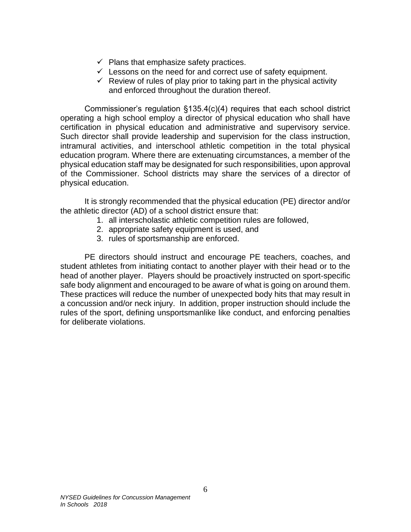- $\checkmark$  Plans that emphasize safety practices.
- $\checkmark$  Lessons on the need for and correct use of safety equipment.
- $\checkmark$  Review of rules of play prior to taking part in the physical activity and enforced throughout the duration thereof.

Commissioner's regulation §135.4(c)(4) requires that each school district operating a high school employ a director of physical education who shall have certification in physical education and administrative and supervisory service. Such director shall provide leadership and supervision for the class instruction, intramural activities, and interschool athletic competition in the total physical education program. Where there are extenuating circumstances, a member of the physical education staff may be designated for such responsibilities, upon approval of the Commissioner. School districts may share the services of a director of physical education.

It is strongly recommended that the physical education (PE) director and/or the athletic director (AD) of a school district ensure that:

- 1. all interscholastic athletic competition rules are followed,
- 2. appropriate safety equipment is used, and
- 3. rules of sportsmanship are enforced.

PE directors should instruct and encourage PE teachers, coaches, and student athletes from initiating contact to another player with their head or to the head of another player. Players should be proactively instructed on sport-specific safe body alignment and encouraged to be aware of what is going on around them. These practices will reduce the number of unexpected body hits that may result in a concussion and/or neck injury. In addition, proper instruction should include the rules of the sport, defining unsportsmanlike like conduct, and enforcing penalties for deliberate violations.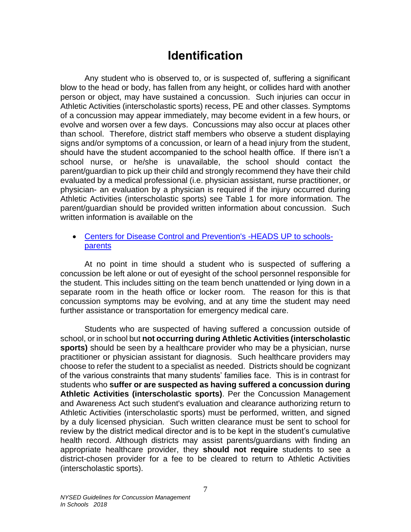# **Identification**

<span id="page-12-0"></span>Any student who is observed to, or is suspected of, suffering a significant blow to the head or body, has fallen from any height, or collides hard with another person or object, may have sustained a concussion. Such injuries can occur in Athletic Activities (interscholastic sports) recess, PE and other classes. Symptoms of a concussion may appear immediately, may become evident in a few hours, or evolve and worsen over a few days. Concussions may also occur at places other than school. Therefore, district staff members who observe a student displaying signs and/or symptoms of a concussion, or learn of a head injury from the student, should have the student accompanied to the school health office. If there isn't a school nurse, or he/she is unavailable, the school should contact the parent/guardian to pick up their child and strongly recommend they have their child evaluated by a medical professional (i.e. physician assistant, nurse practitioner, or physician- an evaluation by a physician is required if the injury occurred during Athletic Activities (interscholastic sports) see Table 1 for more information. The parent/guardian should be provided written information about concussion. Such written information is available on the

### • [Centers for Disease Control and Prevention's -HEADS UP to schools](https://www.cdc.gov/headsup/schools/parents.html)[parents](https://www.cdc.gov/headsup/schools/parents.html)

At no point in time should a student who is suspected of suffering a concussion be left alone or out of eyesight of the school personnel responsible for the student. This includes sitting on the team bench unattended or lying down in a separate room in the heath office or locker room. The reason for this is that concussion symptoms may be evolving, and at any time the student may need further assistance or transportation for emergency medical care.

Students who are suspected of having suffered a concussion outside of school, or in school but **not occurring during Athletic Activities (interscholastic sports)** should be seen by a healthcare provider who may be a physician, nurse practitioner or physician assistant for diagnosis. Such healthcare providers may choose to refer the student to a specialist as needed. Districts should be cognizant of the various constraints that many students' families face. This is in contrast for students who **suffer or are suspected as having suffered a concussion during Athletic Activities (interscholastic sports)**. Per the Concussion Management and Awareness Act such student's evaluation and clearance authorizing return to Athletic Activities (interscholastic sports) must be performed, written, and signed by a duly licensed physician. Such written clearance must be sent to school for review by the district medical director and is to be kept in the student's cumulative health record. Although districts may assist parents/guardians with finding an appropriate healthcare provider, they **should not require** students to see a district-chosen provider for a fee to be cleared to return to Athletic Activities (interscholastic sports).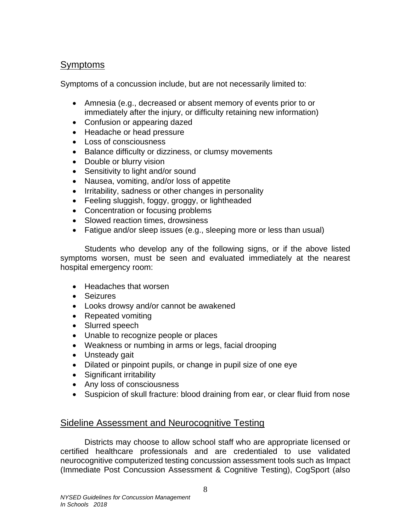## <span id="page-13-0"></span>**Symptoms**

Symptoms of a concussion include, but are not necessarily limited to:

- Amnesia (e.g., decreased or absent memory of events prior to or immediately after the injury, or difficulty retaining new information)
- Confusion or appearing dazed
- Headache or head pressure
- Loss of consciousness
- Balance difficulty or dizziness, or clumsy movements
- Double or blurry vision
- Sensitivity to light and/or sound
- Nausea, vomiting, and/or loss of appetite
- Irritability, sadness or other changes in personality
- Feeling sluggish, foggy, groggy, or lightheaded
- Concentration or focusing problems
- Slowed reaction times, drowsiness
- Fatigue and/or sleep issues (e.g., sleeping more or less than usual)

Students who develop any of the following signs, or if the above listed symptoms worsen, must be seen and evaluated immediately at the nearest hospital emergency room:

- Headaches that worsen
- Seizures
- Looks drowsy and/or cannot be awakened
- Repeated vomiting
- Slurred speech
- Unable to recognize people or places
- Weakness or numbing in arms or legs, facial drooping
- Unsteady gait
- Dilated or pinpoint pupils, or change in pupil size of one eye
- Significant irritability
- Any loss of consciousness
- Suspicion of skull fracture: blood draining from ear, or clear fluid from nose

# <span id="page-13-1"></span>Sideline Assessment and Neurocognitive Testing

Districts may choose to allow school staff who are appropriate licensed or certified healthcare professionals and are credentialed to use validated neurocognitive computerized testing concussion assessment tools such as Impact (Immediate Post Concussion Assessment & Cognitive Testing), CogSport (also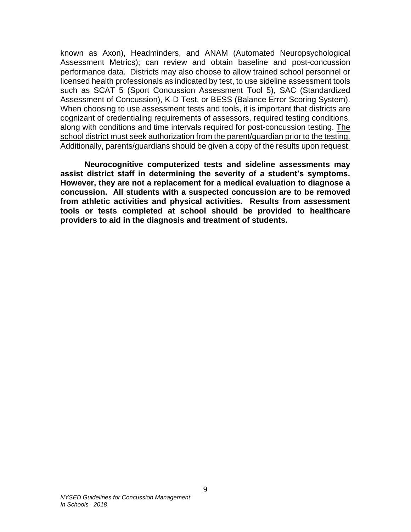known as Axon), Headminders, and ANAM (Automated Neuropsychological Assessment Metrics); can review and obtain baseline and post-concussion performance data. Districts may also choose to allow trained school personnel or licensed health professionals as indicated by test, to use sideline assessment tools such as SCAT 5 (Sport Concussion Assessment Tool 5), SAC (Standardized Assessment of Concussion), K-D Test, or BESS (Balance Error Scoring System). When choosing to use assessment tests and tools, it is important that districts are cognizant of credentialing requirements of assessors, required testing conditions, along with conditions and time intervals required for post-concussion testing. The school district must seek authorization from the parent/guardian prior to the testing. Additionally, parents/guardians should be given a copy of the results upon request.

**Neurocognitive computerized tests and sideline assessments may assist district staff in determining the severity of a student's symptoms. However, they are not a replacement for a medical evaluation to diagnose a concussion. All students with a suspected concussion are to be removed from athletic activities and physical activities. Results from assessment tools or tests completed at school should be provided to healthcare providers to aid in the diagnosis and treatment of students.**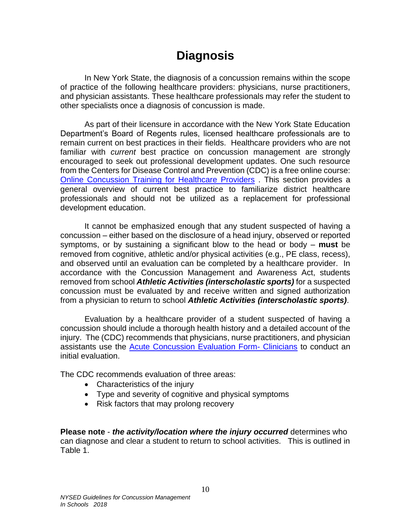# **Diagnosis**

In New York State, the diagnosis of a concussion remains within the scope of practice of the following healthcare providers: physicians, nurse practitioners, and physician assistants. These healthcare professionals may refer the student to other specialists once a diagnosis of concussion is made.

As part of their licensure in accordance with the New York State Education Department's Board of Regents rules, licensed healthcare professionals are to remain current on best practices in their fields. Healthcare providers who are not familiar with *current* best practice on concussion management are strongly encouraged to seek out professional development updates. One such resource from the Centers for Disease Control and Prevention (CDC) is a free online course: [Online Concussion Training for Healthcare Providers](https://www.cdc.gov/headsup/providers/training/index.html) . This section provides a general overview of current best practice to familiarize district healthcare professionals and should not be utilized as a replacement for professional development education.

It cannot be emphasized enough that any student suspected of having a concussion – either based on the disclosure of a head injury, observed or reported symptoms, or by sustaining a significant blow to the head or body – **must** be removed from cognitive, athletic and/or physical activities (e.g., PE class, recess), and observed until an evaluation can be completed by a healthcare provider. In accordance with the Concussion Management and Awareness Act, students removed from school *Athletic Activities (interscholastic sports)* for a suspected concussion must be evaluated by and receive written and signed authorization from a physician to return to school *Athletic Activities (interscholastic sports)*.

Evaluation by a healthcare provider of a student suspected of having a concussion should include a thorough health history and a detailed account of the injury. The (CDC) recommends that physicians, nurse practitioners, and physician assistants use the [Acute Concussion Evaluation Form-](https://www.cdc.gov/headsup/pdfs/providers/ace-a.pdf) Clinicians to conduct an initial evaluation.

The CDC recommends evaluation of three areas:

- Characteristics of the injury
- Type and severity of cognitive and physical symptoms
- Risk factors that may prolong recovery

**Please note** - *the activity/location where the injury occurred* determines who can diagnose and clear a student to return to school activities. This is outlined in Table 1.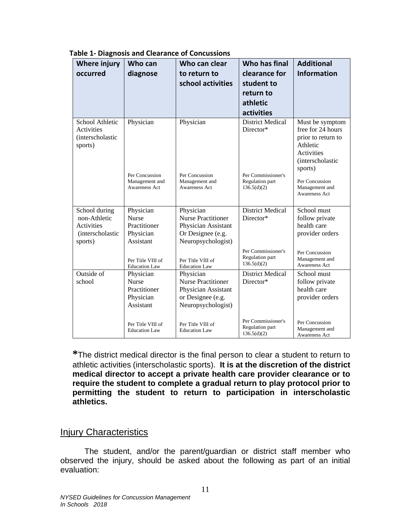| <b>Where injury</b><br>occurred                                                   | Who can<br>diagnose                                                   | Who can clear<br>to return to<br>school activities                                                       | Who has final<br>clearance for<br>student to<br>return to<br>athletic<br>activities          | <b>Additional</b><br><b>Information</b>                                                                                                                 |
|-----------------------------------------------------------------------------------|-----------------------------------------------------------------------|----------------------------------------------------------------------------------------------------------|----------------------------------------------------------------------------------------------|---------------------------------------------------------------------------------------------------------------------------------------------------------|
| School Athletic<br><b>Activities</b><br><i>(interscholastic)</i><br>sports)       | Physician<br>Per Concussion<br>Management and<br><b>Awareness Act</b> | Physician<br>Per Concussion<br>Management and<br><b>Awareness Act</b>                                    | <b>District Medical</b><br>Director*<br>Per Commissioner's<br>Regulation part<br>136.5(d)(2) | Must be symptom<br>free for 24 hours<br>prior to return to<br>Athletic<br>Activities<br>(interscholastic<br>sports)<br>Per Concussion<br>Management and |
| School during<br>non-Athletic<br><b>Activities</b><br>(interscholastic<br>sports) | Physician<br><b>Nurse</b><br>Practitioner<br>Physician<br>Assistant   | Physician<br><b>Nurse Practitioner</b><br>Physician Assistant<br>Or Designee (e.g.<br>Neuropsychologist) | <b>District Medical</b><br>Director*                                                         | <b>Awareness Act</b><br>School must<br>follow private<br>health care<br>provider orders                                                                 |
|                                                                                   | Per Title VIII of<br><b>Education Law</b>                             | Per Title VIII of<br><b>Education Law</b>                                                                | Per Commissioner's<br>Regulation part<br>136.5(d)(2)                                         | Per Concussion<br>Management and<br><b>Awareness Act</b>                                                                                                |
| Outside of<br>school                                                              | Physician<br><b>Nurse</b><br>Practitioner<br>Physician<br>Assistant   | Physician<br><b>Nurse Practitioner</b><br>Physician Assistant<br>or Designee (e.g.<br>Neuropsychologist) | <b>District Medical</b><br>Director*                                                         | School must<br>follow private<br>health care<br>provider orders                                                                                         |
|                                                                                   | Per Title VIII of<br><b>Education Law</b>                             | Per Title VIII of<br><b>Education Law</b>                                                                | Per Commissioner's<br>Regulation part<br>136.5(d)(2)                                         | Per Concussion<br>Management and<br>Awareness Act                                                                                                       |

**Table 1- Diagnosis and Clearance of Concussions**

**\***The district medical director is the final person to clear a student to return to athletic activities (interscholastic sports). **It is at the discretion of the district medical director to accept a private health care provider clearance or to require the student to complete a gradual return to play protocol prior to permitting the student to return to participation in interscholastic athletics.**

## <span id="page-16-0"></span>Injury Characteristics

The student, and/or the parent/guardian or district staff member who observed the injury, should be asked about the following as part of an initial evaluation: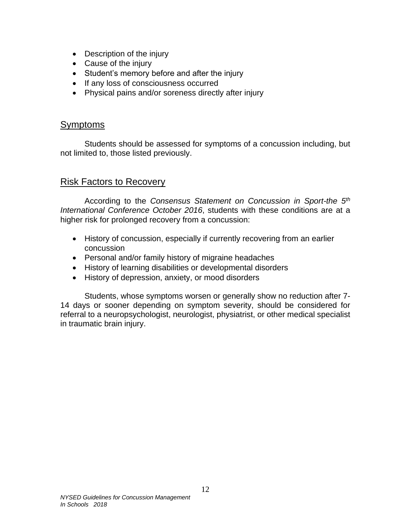- Description of the injury
- Cause of the injury
- Student's memory before and after the injury
- If any loss of consciousness occurred
- Physical pains and/or soreness directly after injury

## <span id="page-17-0"></span>Symptoms

Students should be assessed for symptoms of a concussion including, but not limited to, those listed previously.

## <span id="page-17-1"></span>Risk Factors to Recovery

According to the *Consensus Statement on Concussion in Sport-the 5th International Conference October 2016*, students with these conditions are at a higher risk for prolonged recovery from a concussion:

- History of concussion, especially if currently recovering from an earlier concussion
- Personal and/or family history of migraine headaches
- History of learning disabilities or developmental disorders
- History of depression, anxiety, or mood disorders

Students, whose symptoms worsen or generally show no reduction after 7- 14 days or sooner depending on symptom severity, should be considered for referral to a neuropsychologist, neurologist, physiatrist, or other medical specialist in traumatic brain injury.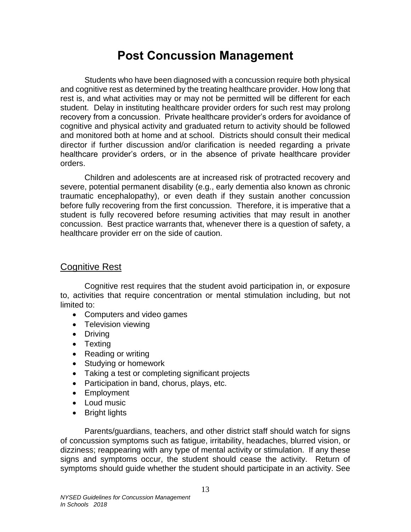# **Post Concussion Management**

<span id="page-18-0"></span>Students who have been diagnosed with a concussion require both physical and cognitive rest as determined by the treating healthcare provider. How long that rest is, and what activities may or may not be permitted will be different for each student. Delay in instituting healthcare provider orders for such rest may prolong recovery from a concussion. Private healthcare provider's orders for avoidance of cognitive and physical activity and graduated return to activity should be followed and monitored both at home and at school. Districts should consult their medical director if further discussion and/or clarification is needed regarding a private healthcare provider's orders, or in the absence of private healthcare provider orders.

Children and adolescents are at increased risk of protracted recovery and severe, potential permanent disability (e.g., early dementia also known as chronic traumatic encephalopathy), or even death if they sustain another concussion before fully recovering from the first concussion. Therefore, it is imperative that a student is fully recovered before resuming activities that may result in another concussion. Best practice warrants that, whenever there is a question of safety, a healthcare provider err on the side of caution.

## <span id="page-18-1"></span>Cognitive Rest

Cognitive rest requires that the student avoid participation in, or exposure to, activities that require concentration or mental stimulation including, but not limited to:

- Computers and video games
- Television viewing
- Driving
- Texting
- Reading or writing
- Studying or homework
- Taking a test or completing significant projects
- Participation in band, chorus, plays, etc.
- Employment
- Loud music
- Bright lights

Parents/guardians, teachers, and other district staff should watch for signs of concussion symptoms such as fatigue, irritability, headaches, blurred vision, or dizziness; reappearing with any type of mental activity or stimulation. If any these signs and symptoms occur, the student should cease the activity. Return of symptoms should guide whether the student should participate in an activity. See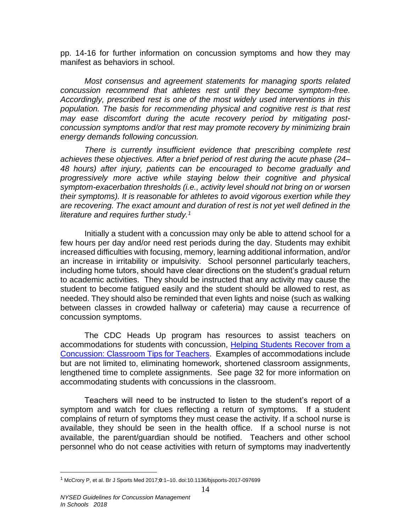pp. 14-16 for further information on concussion symptoms and how they may manifest as behaviors in school.

*Most consensus and agreement statements for managing sports related concussion recommend that athletes rest until they become symptom-free. Accordingly, prescribed rest is one of the most widely used interventions in this*  population. The basis for recommending physical and cognitive rest is that rest *may ease discomfort during the acute recovery period by mitigating postconcussion symptoms and/or that rest may promote recovery by minimizing brain energy demands following concussion.* 

*There is currently insufficient evidence that prescribing complete rest achieves these objectives. After a brief period of rest during the acute phase (24– 48 hours) after injury, patients can be encouraged to become gradually and progressively more active while staying below their cognitive and physical symptom-exacerbation thresholds (i.e., activity level should not bring on or worsen their symptoms). It is reasonable for athletes to avoid vigorous exertion while they are recovering. The exact amount and duration of rest is not yet well defined in the literature and requires further study.<sup>1</sup>*

Initially a student with a concussion may only be able to attend school for a few hours per day and/or need rest periods during the day. Students may exhibit increased difficulties with focusing, memory, learning additional information, and/or an increase in irritability or impulsivity. School personnel particularly teachers, including home tutors, should have clear directions on the student's gradual return to academic activities. They should be instructed that any activity may cause the student to become fatigued easily and the student should be allowed to rest, as needed. They should also be reminded that even lights and noise (such as walking between classes in crowded hallway or cafeteria) may cause a recurrence of concussion symptoms.

The CDC Heads Up program has resources to assist teachers on accommodations for students with concussion, [Helping Students Recover from a](https://www.cdc.gov/headsup/pdfs/schools/tbi_classroom_tips_for_teachers-a.pdf)  [Concussion: Classroom Tips for Teachers.](https://www.cdc.gov/headsup/pdfs/schools/tbi_classroom_tips_for_teachers-a.pdf) Examples of accommodations include but are not limited to, eliminating homework, shortened classroom assignments, lengthened time to complete assignments. See page 32 for more information on accommodating students with concussions in the classroom.

Teachers will need to be instructed to listen to the student's report of a symptom and watch for clues reflecting a return of symptoms. If a student complains of return of symptoms they must cease the activity. If a school nurse is available, they should be seen in the health office. If a school nurse is not available, the parent/guardian should be notified. Teachers and other school personnel who do not cease activities with return of symptoms may inadvertently

 $\overline{a}$ 

<sup>1</sup> McCrory P, et al. Br J Sports Med 2017;**0**:1–10. doi:10.1136/bjsports-2017-097699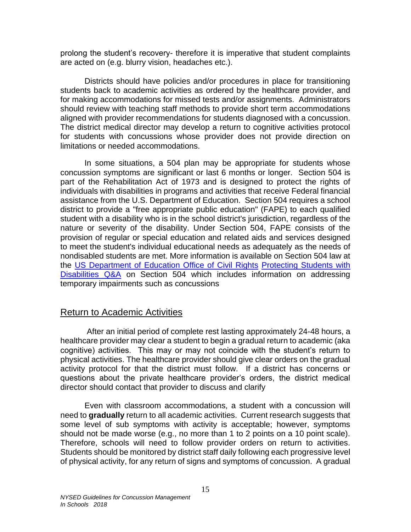prolong the student's recovery- therefore it is imperative that student complaints are acted on (e.g. blurry vision, headaches etc.).

Districts should have policies and/or procedures in place for transitioning students back to academic activities as ordered by the healthcare provider, and for making accommodations for missed tests and/or assignments. Administrators should review with teaching staff methods to provide short term accommodations aligned with provider recommendations for students diagnosed with a concussion. The district medical director may develop a return to cognitive activities protocol for students with concussions whose provider does not provide direction on limitations or needed accommodations.

In some situations, a 504 plan may be appropriate for students whose concussion symptoms are significant or last 6 months or longer. Section 504 is part of the Rehabilitation Act of 1973 and is designed to protect the rights of individuals with disabilities in programs and activities that receive Federal financial assistance from the U.S. Department of Education. Section 504 requires a school district to provide a "free appropriate public education" (FAPE) to each qualified student with a disability who is in the school district's jurisdiction, regardless of the nature or severity of the disability. Under Section 504, FAPE consists of the provision of regular or special education and related aids and services designed to meet the student's individual educational needs as adequately as the needs of nondisabled students are met. More information is available on Section 504 law at the [US Department of Education Office of Civil Rights](http://www2.ed.gov/about/offices/list/ocr/index.html) [Protecting Students with](http://www2.ed.gov/about/offices/list/ocr/504faq.html)  [Disabilities Q&A](http://www2.ed.gov/about/offices/list/ocr/504faq.html) on Section 504 which includes information on addressing temporary impairments such as concussions

## <span id="page-20-0"></span>Return to Academic Activities

After an initial period of complete rest lasting approximately 24-48 hours, a healthcare provider may clear a student to begin a gradual return to academic (aka cognitive) activities. This may or may not coincide with the student's return to physical activities. The healthcare provider should give clear orders on the gradual activity protocol for that the district must follow. If a district has concerns or questions about the private healthcare provider's orders, the district medical director should contact that provider to discuss and clarify

Even with classroom accommodations, a student with a concussion will need to **gradually** return to all academic activities. Current research suggests that some level of sub symptoms with activity is acceptable; however, symptoms should not be made worse (e.g., no more than 1 to 2 points on a 10 point scale). Therefore, schools will need to follow provider orders on return to activities. Students should be monitored by district staff daily following each progressive level of physical activity, for any return of signs and symptoms of concussion. A gradual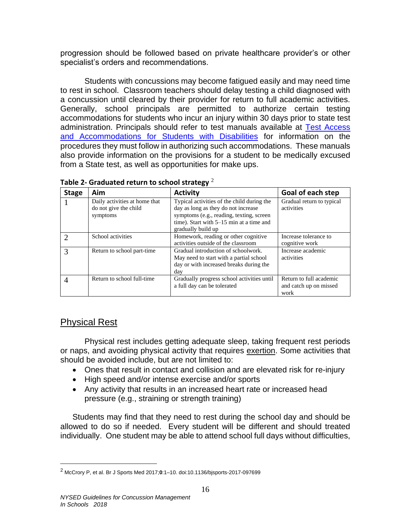progression should be followed based on private healthcare provider's or other specialist's orders and recommendations.

Students with concussions may become fatigued easily and may need time to rest in school. Classroom teachers should delay testing a child diagnosed with a concussion until cleared by their provider for return to full academic activities. Generally, school principals are permitted to authorize certain testing accommodations for students who incur an injury within 30 days prior to state test administration. Principals should refer to test manuals available at [Test Access](http://www.p12.nysed.gov/specialed/publications/policy/testaccess/policyguide.htm)  [and Accommodations for Students with Disabilities](http://www.p12.nysed.gov/specialed/publications/policy/testaccess/policyguide.htm) for information on the procedures they must follow in authorizing such accommodations. These manuals also provide information on the provisions for a student to be medically excused from a State test, as well as opportunities for make ups.

| <b>Stage</b>   | Aim                                                                | <b>Activity</b>                                                                                                                                                                                 | Goal of each step                                         |
|----------------|--------------------------------------------------------------------|-------------------------------------------------------------------------------------------------------------------------------------------------------------------------------------------------|-----------------------------------------------------------|
|                | Daily activities at home that<br>do not give the child<br>symptoms | Typical activities of the child during the<br>day as long as they do not increase<br>symptoms (e.g., reading, texting, screen<br>time). Start with 5–15 min at a time and<br>gradually build up | Gradual return to typical<br>activities                   |
|                | School activities                                                  | Homework, reading or other cognitive<br>activities outside of the classroom                                                                                                                     | Increase tolerance to<br>cognitive work                   |
| 3              | Return to school part-time                                         | Gradual introduction of schoolwork.<br>May need to start with a partial school<br>day or with increased breaks during the<br>dav                                                                | Increase academic<br>activities                           |
| $\overline{4}$ | Return to school full-time                                         | Gradually progress school activities until<br>a full day can be tolerated                                                                                                                       | Return to full academic<br>and catch up on missed<br>work |

**Table 2- Graduated return to school strategy** <sup>2</sup>

# <span id="page-21-0"></span>Physical Rest

 $\overline{a}$ 

Physical rest includes getting adequate sleep, taking frequent rest periods or naps, and avoiding physical activity that requires exertion. Some activities that should be avoided include, but are not limited to:

- Ones that result in contact and collision and are elevated risk for re-injury
- High speed and/or intense exercise and/or sports
- Any activity that results in an increased heart rate or increased head pressure (e.g., straining or strength training)

Students may find that they need to rest during the school day and should be allowed to do so if needed. Every student will be different and should treated individually. One student may be able to attend school full days without difficulties,

<sup>2</sup> McCrory P, et al. Br J Sports Med 2017;**0**:1–10. doi:10.1136/bjsports-2017-097699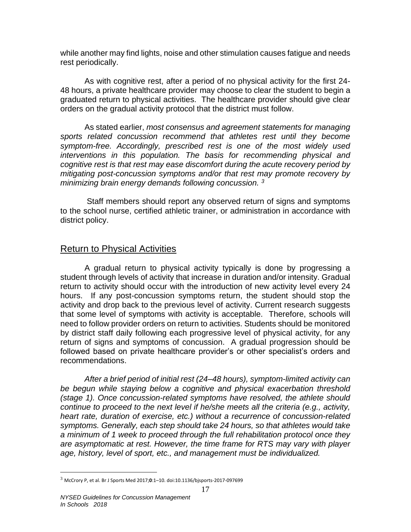while another may find lights, noise and other stimulation causes fatigue and needs rest periodically.

As with cognitive rest, after a period of no physical activity for the first 24- 48 hours, a private healthcare provider may choose to clear the student to begin a graduated return to physical activities. The healthcare provider should give clear orders on the gradual activity protocol that the district must follow.

As stated earlier, *most consensus and agreement statements for managing sports related concussion recommend that athletes rest until they become symptom-free. Accordingly, prescribed rest is one of the most widely used interventions in this population. The basis for recommending physical and cognitive rest is that rest may ease discomfort during the acute recovery period by mitigating post-concussion symptoms and/or that rest may promote recovery by minimizing brain energy demands following concussion. <sup>3</sup>*

Staff members should report any observed return of signs and symptoms to the school nurse, certified athletic trainer, or administration in accordance with district policy.

## <span id="page-22-0"></span>Return to Physical Activities

A gradual return to physical activity typically is done by progressing a student through levels of activity that increase in duration and/or intensity. Gradual return to activity should occur with the introduction of new activity level every 24 hours. If any post-concussion symptoms return, the student should stop the activity and drop back to the previous level of activity. Current research suggests that some level of symptoms with activity is acceptable. Therefore, schools will need to follow provider orders on return to activities. Students should be monitored by district staff daily following each progressive level of physical activity, for any return of signs and symptoms of concussion. A gradual progression should be followed based on private healthcare provider's or other specialist's orders and recommendations.

*After a brief period of initial rest (24–48 hours), symptom-limited activity can be begun while staying below a cognitive and physical exacerbation threshold (stage 1). Once concussion-related symptoms have resolved, the athlete should continue to proceed to the next level if he/she meets all the criteria (e.g., activity, heart rate, duration of exercise, etc.) without a recurrence of concussion-related symptoms. Generally, each step should take 24 hours, so that athletes would take a minimum of 1 week to proceed through the full rehabilitation protocol once they are asymptomatic at rest. However, the time frame for RTS may vary with player age, history, level of sport, etc., and management must be individualized.* 

 $\overline{a}$ 

<sup>3</sup> McCrory P, et al. Br J Sports Med 2017;**0**:1–10. doi:10.1136/bjsports-2017-097699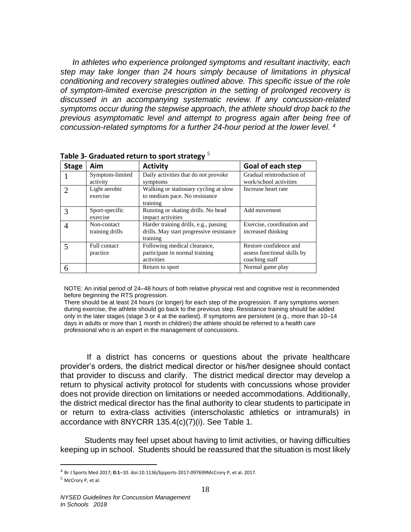*In athletes who experience prolonged symptoms and resultant inactivity, each step may take longer than 24 hours simply because of limitations in physical conditioning and recovery strategies outlined above. This specific issue of the role of symptom-limited exercise prescription in the setting of prolonged recovery is discussed in an accompanying systematic review. If any concussion-related symptoms occur during the stepwise approach, the athlete should drop back to the previous asymptomatic level and attempt to progress again after being free of concussion-related symptoms for a further 24-hour period at the lower level. <sup>4</sup>*

| <b>Stage</b> | Aim                             | <b>Activity</b>                                                                               | Goal of each step                                                       |
|--------------|---------------------------------|-----------------------------------------------------------------------------------------------|-------------------------------------------------------------------------|
|              | Symptom-limited<br>activity     | Daily activities that do not provoke<br>symptoms                                              | Gradual reintroduction of<br>work/school activities                     |
|              | Light aerobic<br>exercise       | Walking or stationary cycling at slow<br>to medium pace. No resistance<br>training            | Increase heart rate                                                     |
|              | Sport-specific<br>exercise      | Running or skating drills. No head<br>impact activities                                       | Add movement                                                            |
|              | Non-contact<br>training drills  | Harder training drills, e.g., passing<br>drills. May start progressive resistance<br>training | Exercise, coordination and<br>increased thinking                        |
| 5            | <b>Full contact</b><br>practice | Following medical clearance,<br>participate in normal training<br>activities                  | Restore confidence and<br>assess functional skills by<br>coaching staff |
|              |                                 | Return to sport                                                                               | Normal game play                                                        |

**Table 3- Graduated return to sport strategy** 5

NOTE: An initial period of 24–48 hours of both relative physical rest and cognitive rest is recommended before beginning the RTS progression.

There should be at least 24 hours (or longer) for each step of the progression. If any symptoms worsen during exercise, the athlete should go back to the previous step. Resistance training should be added only in the later stages (stage 3 or 4 at the earliest). If symptoms are persistent (e.g., more than 10–14 days in adults or more than 1 month in children) the athlete should be referred to a health care professional who is an expert in the management of concussions.

If a district has concerns or questions about the private healthcare provider's orders, the district medical director or his/her designee should contact that provider to discuss and clarify. The district medical director may develop a return to physical activity protocol for students with concussions whose provider does not provide direction on limitations or needed accommodations. Additionally, the district medical director has the final authority to clear students to participate in or return to extra-class activities (interscholastic athletics or intramurals) in accordance with 8NYCRR 135.4(c)(7)(i). See Table 1.

Students may feel upset about having to limit activities, or having difficulties keeping up in school. Students should be reassured that the situation is most likely

 $\overline{a}$ 

<sup>4</sup> Br J Sports Med 2017; **0:1**–10. doi:10.1136/bjsports-2017-097699McCrory P, et al. 2017.

<sup>5</sup> McCrory P, et al.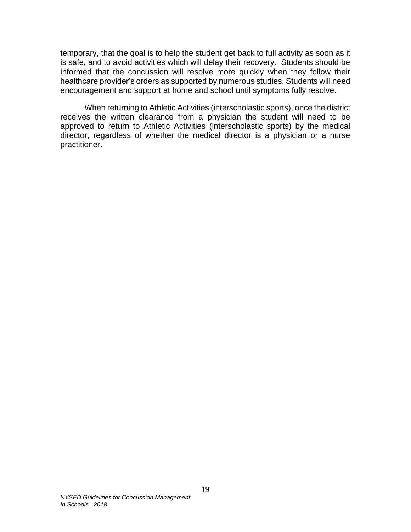temporary, that the goal is to help the student get back to full activity as soon as it is safe, and to avoid activities which will delay their recovery. Students should be informed that the concussion will resolve more quickly when they follow their healthcare provider's orders as supported by numerous studies. Students will need encouragement and support at home and school until symptoms fully resolve.

When returning to Athletic Activities (interscholastic sports), once the district receives the written clearance from a physician the student will need to be approved to return to Athletic Activities (interscholastic sports) by the medical director, regardless of whether the medical director is a physician or a nurse practitioner.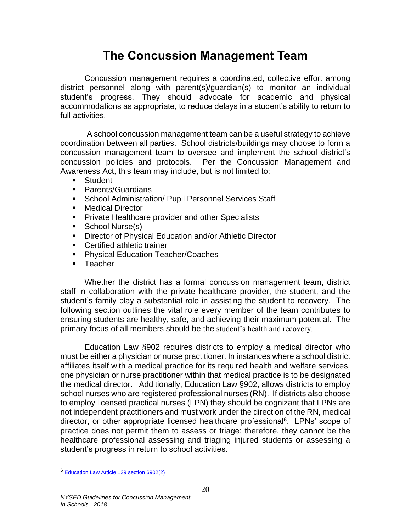# **The Concussion Management Team**

<span id="page-25-0"></span>Concussion management requires a coordinated, collective effort among district personnel along with parent(s)/guardian(s) to monitor an individual student's progress. They should advocate for academic and physical accommodations as appropriate, to reduce delays in a student's ability to return to full activities.

A school concussion management team can be a useful strategy to achieve coordination between all parties. School districts/buildings may choose to form a concussion management team to oversee and implement the school district's concussion policies and protocols. Per the Concussion Management and Awareness Act, this team may include, but is not limited to:

- **Student**
- Parents/Guardians
- **EXECT Administration/ Pupil Personnel Services Staff**
- Medical Director
- Private Healthcare provider and other Specialists
- School Nurse(s)
- Director of Physical Education and/or Athletic Director
- Certified athletic trainer
- Physical Education Teacher/Coaches
- Teacher

Whether the district has a formal concussion management team, district staff in collaboration with the private healthcare provider, the student, and the student's family play a substantial role in assisting the student to recovery. The following section outlines the vital role every member of the team contributes to ensuring students are healthy, safe, and achieving their maximum potential. The primary focus of all members should be the student's health and recovery.

Education Law §902 requires districts to employ a medical director who must be either a physician or nurse practitioner. In instances where a school district affiliates itself with a medical practice for its required health and welfare services, one physician or nurse practitioner within that medical practice is to be designated the medical director. Additionally, Education Law §902, allows districts to employ school nurses who are registered professional nurses (RN). If districts also choose to employ licensed practical nurses (LPN) they should be cognizant that LPNs are not independent practitioners and must work under the direction of the RN, medical director, or other appropriate licensed healthcare professional<sup>6</sup>. LPNs' scope of practice does not permit them to assess or triage; therefore, they cannot be the healthcare professional assessing and triaging injured students or assessing a student's progress in return to school activities.

 $\overline{a}$ 

<sup>6</sup> [Education Law Article 139 section 6902\(2\)](http://www.op.nysed.gov/prof/nurse/article139.htm%23sect6900)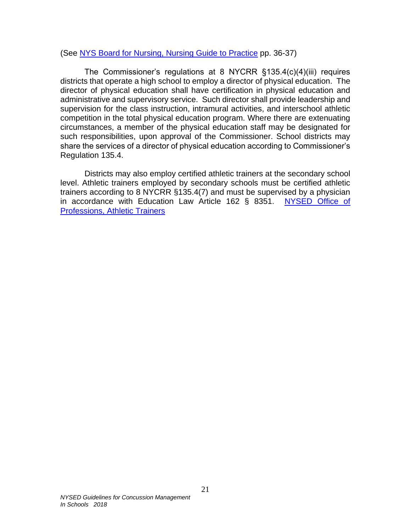### (See [NYS Board for Nursing, Nursing Guide to Practice](http://www.op.nysed.gov/prof/nurse/nurse-guide-april09.pdf) pp. 36-37)

The Commissioner's regulations at 8 NYCRR §135.4(c)(4)(iii) requires districts that operate a high school to employ a director of physical education. The director of physical education shall have certification in physical education and administrative and supervisory service. Such director shall provide leadership and supervision for the class instruction, intramural activities, and interschool athletic competition in the total physical education program. Where there are extenuating circumstances, a member of the physical education staff may be designated for such responsibilities, upon approval of the Commissioner. School districts may share the services of a director of physical education according to Commissioner's Regulation 135.4.

Districts may also employ certified athletic trainers at the secondary school level. Athletic trainers employed by secondary schools must be certified athletic trainers according to 8 NYCRR §135.4(7) and must be supervised by a physician in accordance with Education Law Article 162 § 8351. [NYSED Office of](http://www.op.nysed.gov/prof/at/)  [Professions, Athletic Trainers](http://www.op.nysed.gov/prof/at/)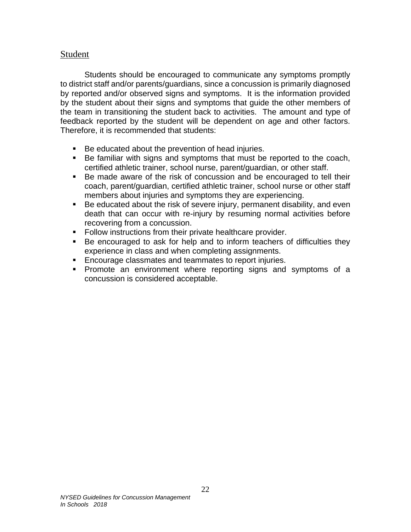### Student

Students should be encouraged to communicate any symptoms promptly to district staff and/or parents/guardians, since a concussion is primarily diagnosed by reported and/or observed signs and symptoms. It is the information provided by the student about their signs and symptoms that guide the other members of the team in transitioning the student back to activities. The amount and type of feedback reported by the student will be dependent on age and other factors. Therefore, it is recommended that students:

- Be educated about the prevention of head injuries.
- Be familiar with signs and symptoms that must be reported to the coach, certified athletic trainer, school nurse, parent/guardian, or other staff.
- Be made aware of the risk of concussion and be encouraged to tell their coach, parent/guardian, certified athletic trainer, school nurse or other staff members about injuries and symptoms they are experiencing.
- Be educated about the risk of severe injury, permanent disability, and even death that can occur with re-injury by resuming normal activities before recovering from a concussion.
- Follow instructions from their private healthcare provider.
- Be encouraged to ask for help and to inform teachers of difficulties they experience in class and when completing assignments.
- Encourage classmates and teammates to report injuries.
- Promote an environment where reporting signs and symptoms of a concussion is considered acceptable.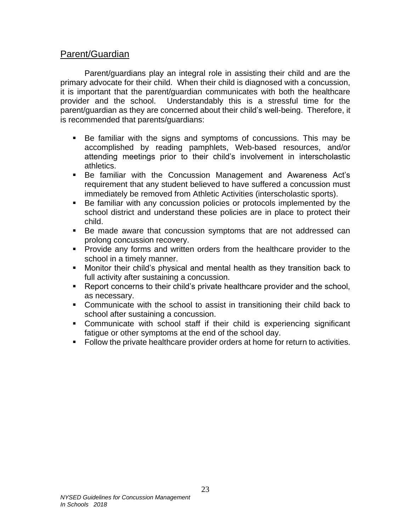## <span id="page-28-0"></span>Parent/Guardian

Parent/guardians play an integral role in assisting their child and are the primary advocate for their child. When their child is diagnosed with a concussion, it is important that the parent/guardian communicates with both the healthcare provider and the school. Understandably this is a stressful time for the parent/guardian as they are concerned about their child's well-being. Therefore, it is recommended that parents/guardians:

- Be familiar with the signs and symptoms of concussions. This may be accomplished by reading pamphlets, Web-based resources, and/or attending meetings prior to their child's involvement in interscholastic athletics.
- Be familiar with the Concussion Management and Awareness Act's requirement that any student believed to have suffered a concussion must immediately be removed from Athletic Activities (interscholastic sports).
- Be familiar with any concussion policies or protocols implemented by the school district and understand these policies are in place to protect their child.
- Be made aware that concussion symptoms that are not addressed can prolong concussion recovery.
- **•** Provide any forms and written orders from the healthcare provider to the school in a timely manner.
- Monitor their child's physical and mental health as they transition back to full activity after sustaining a concussion.
- Report concerns to their child's private healthcare provider and the school, as necessary.
- Communicate with the school to assist in transitioning their child back to school after sustaining a concussion.
- Communicate with school staff if their child is experiencing significant fatigue or other symptoms at the end of the school day.
- Follow the private healthcare provider orders at home for return to activities.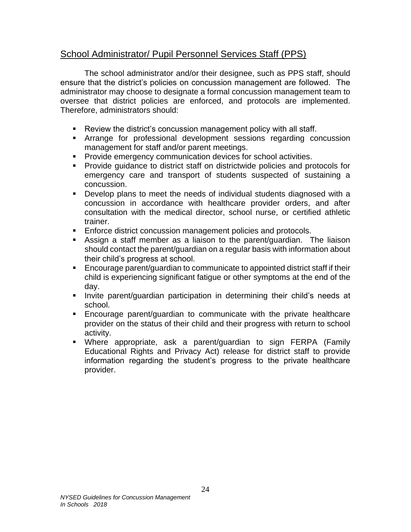## <span id="page-29-0"></span>School Administrator/ Pupil Personnel Services Staff (PPS)

The school administrator and/or their designee, such as PPS staff, should ensure that the district's policies on concussion management are followed. The administrator may choose to designate a formal concussion management team to oversee that district policies are enforced, and protocols are implemented. Therefore, administrators should:

- Review the district's concussion management policy with all staff.
- **EXP** Arrange for professional development sessions regarding concussion management for staff and/or parent meetings.
- Provide emergency communication devices for school activities.
- Provide guidance to district staff on districtwide policies and protocols for emergency care and transport of students suspected of sustaining a concussion.
- Develop plans to meet the needs of individual students diagnosed with a concussion in accordance with healthcare provider orders, and after consultation with the medical director, school nurse, or certified athletic trainer.
- Enforce district concussion management policies and protocols.
- **EXECT** Assign a staff member as a liaison to the parent/guardian. The liaison should contact the parent/guardian on a regular basis with information about their child's progress at school.
- Encourage parent/guardian to communicate to appointed district staff if their child is experiencing significant fatigue or other symptoms at the end of the day.
- **EXT** Invite parent/guardian participation in determining their child's needs at school.
- Encourage parent/guardian to communicate with the private healthcare provider on the status of their child and their progress with return to school activity.
- Where appropriate, ask a parent/guardian to sign FERPA (Family Educational Rights and Privacy Act) release for district staff to provide information regarding the student's progress to the private healthcare provider.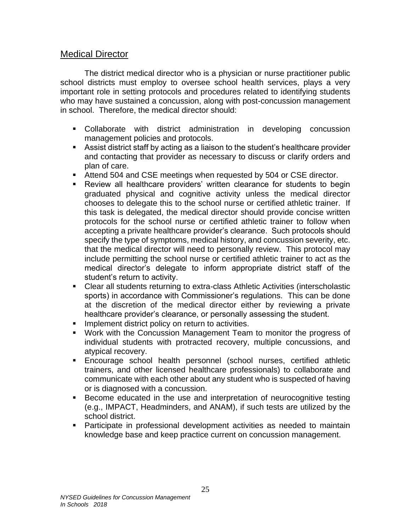## <span id="page-30-0"></span>Medical Director

The district medical director who is a physician or nurse practitioner public school districts must employ to oversee school health services, plays a very important role in setting protocols and procedures related to identifying students who may have sustained a concussion, along with post-concussion management in school. Therefore, the medical director should:

- Collaborate with district administration in developing concussion management policies and protocols.
- Assist district staff by acting as a liaison to the student's healthcare provider and contacting that provider as necessary to discuss or clarify orders and plan of care.
- Attend 504 and CSE meetings when requested by 504 or CSE director.
- **EXECT** Review all healthcare providers' written clearance for students to begin graduated physical and cognitive activity unless the medical director chooses to delegate this to the school nurse or certified athletic trainer. If this task is delegated, the medical director should provide concise written protocols for the school nurse or certified athletic trainer to follow when accepting a private healthcare provider's clearance. Such protocols should specify the type of symptoms, medical history, and concussion severity, etc. that the medical director will need to personally review. This protocol may include permitting the school nurse or certified athletic trainer to act as the medical director's delegate to inform appropriate district staff of the student's return to activity.
- Clear all students returning to extra-class Athletic Activities (interscholastic sports) in accordance with Commissioner's regulations. This can be done at the discretion of the medical director either by reviewing a private healthcare provider's clearance, or personally assessing the student.
- **•** Implement district policy on return to activities.
- Work with the Concussion Management Team to monitor the progress of individual students with protracted recovery, multiple concussions, and atypical recovery.
- Encourage school health personnel (school nurses, certified athletic trainers, and other licensed healthcare professionals) to collaborate and communicate with each other about any student who is suspected of having or is diagnosed with a concussion.
- Become educated in the use and interpretation of neurocognitive testing (e.g., IMPACT, Headminders, and ANAM), if such tests are utilized by the school district.
- **•** Participate in professional development activities as needed to maintain knowledge base and keep practice current on concussion management.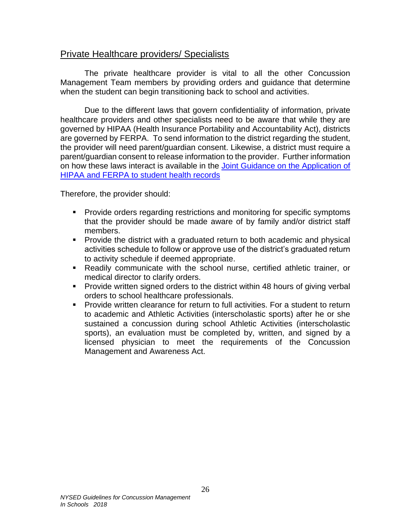## <span id="page-31-0"></span>Private Healthcare providers/ Specialists

The private healthcare provider is vital to all the other Concussion Management Team members by providing orders and guidance that determine when the student can begin transitioning back to school and activities.

Due to the different laws that govern confidentiality of information, private healthcare providers and other specialists need to be aware that while they are governed by HIPAA (Health Insurance Portability and Accountability Act), districts are governed by FERPA. To send information to the district regarding the student, the provider will need parent/guardian consent. Likewise, a district must require a parent/guardian consent to release information to the provider. Further information on how these laws interact is available in the Joint Guidance on the Application of [HIPAA and FERPA to student health records](http://www2.ed.gov/policy/gen/guid/fpco/doc/ferpa-hipaa-guidance.pdf)

Therefore, the provider should:

- **Provide orders regarding restrictions and monitoring for specific symptoms** that the provider should be made aware of by family and/or district staff members.
- **•** Provide the district with a graduated return to both academic and physical activities schedule to follow or approve use of the district's graduated return to activity schedule if deemed appropriate.
- Readily communicate with the school nurse, certified athletic trainer, or medical director to clarify orders.
- Provide written signed orders to the district within 48 hours of giving verbal orders to school healthcare professionals.
- Provide written clearance for return to full activities. For a student to return to academic and Athletic Activities (interscholastic sports) after he or she sustained a concussion during school Athletic Activities (interscholastic sports), an evaluation must be completed by, written, and signed by a licensed physician to meet the requirements of the Concussion Management and Awareness Act.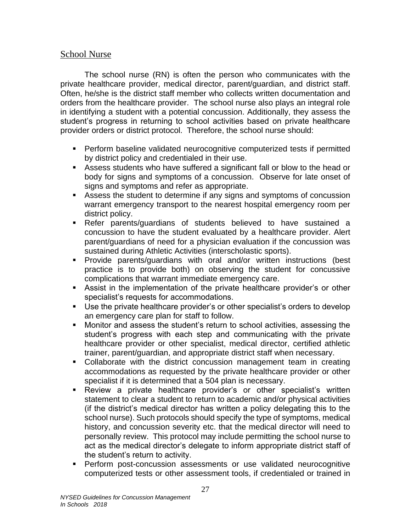## School Nurse

The school nurse (RN) is often the person who communicates with the private healthcare provider, medical director, parent/guardian, and district staff. Often, he/she is the district staff member who collects written documentation and orders from the healthcare provider. The school nurse also plays an integral role in identifying a student with a potential concussion. Additionally, they assess the student's progress in returning to school activities based on private healthcare provider orders or district protocol. Therefore, the school nurse should:

- **•** Perform baseline validated neurocognitive computerized tests if permitted by district policy and credentialed in their use.
- Assess students who have suffered a significant fall or blow to the head or body for signs and symptoms of a concussion. Observe for late onset of signs and symptoms and refer as appropriate.
- Assess the student to determine if any signs and symptoms of concussion warrant emergency transport to the nearest hospital emergency room per district policy.
- Refer parents/guardians of students believed to have sustained a concussion to have the student evaluated by a healthcare provider. Alert parent/guardians of need for a physician evaluation if the concussion was sustained during Athletic Activities (interscholastic sports).
- Provide parents/guardians with oral and/or written instructions (best practice is to provide both) on observing the student for concussive complications that warrant immediate emergency care.
- **EXEL Assist in the implementation of the private healthcare provider's or other** specialist's requests for accommodations.
- Use the private healthcare provider's or other specialist's orders to develop an emergency care plan for staff to follow.
- Monitor and assess the student's return to school activities, assessing the student's progress with each step and communicating with the private healthcare provider or other specialist, medical director, certified athletic trainer, parent/guardian, and appropriate district staff when necessary.
- Collaborate with the district concussion management team in creating accommodations as requested by the private healthcare provider or other specialist if it is determined that a 504 plan is necessary.
- **EXECT** Review a private healthcare provider's or other specialist's written statement to clear a student to return to academic and/or physical activities (if the district's medical director has written a policy delegating this to the school nurse). Such protocols should specify the type of symptoms, medical history, and concussion severity etc. that the medical director will need to personally review. This protocol may include permitting the school nurse to act as the medical director's delegate to inform appropriate district staff of the student's return to activity.
- **•** Perform post-concussion assessments or use validated neurocognitive computerized tests or other assessment tools, if credentialed or trained in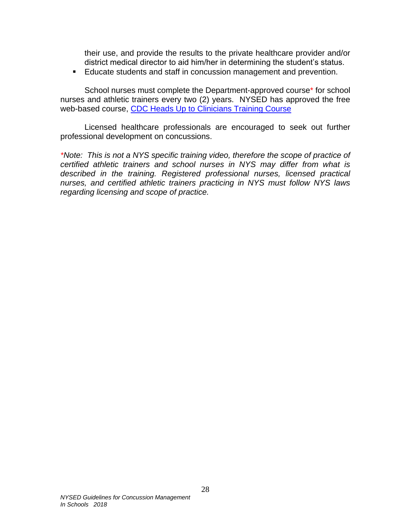their use, and provide the results to the private healthcare provider and/or district medical director to aid him/her in determining the student's status.

■ Educate students and staff in concussion management and prevention.

School nurses must complete the Department-approved course\* for school nurses and athletic trainers every two (2) years. NYSED has approved the free web-based course, [CDC Heads Up to Clinicians Training Course](https://www.cdc.gov/concussion/HeadsUp/clinicians/index.html)

Licensed healthcare professionals are encouraged to seek out further professional development on concussions.

*\*Note: This is not a NYS specific training video, therefore the scope of practice of certified athletic trainers and school nurses in NYS may differ from what is described in the training. Registered professional nurses, licensed practical nurses, and certified athletic trainers practicing in NYS must follow NYS laws regarding licensing and scope of practice.*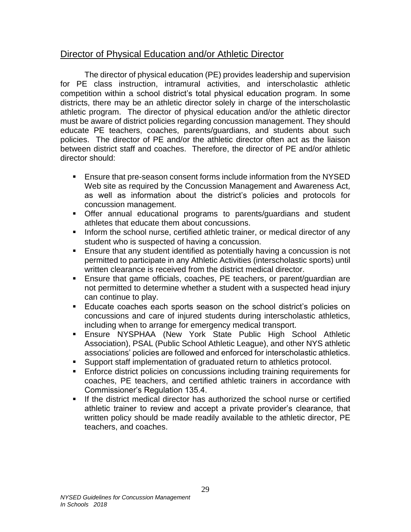## <span id="page-34-0"></span>Director of Physical Education and/or Athletic Director

The director of physical education (PE) provides leadership and supervision for PE class instruction, intramural activities, and interscholastic athletic competition within a school district's total physical education program. In some districts, there may be an athletic director solely in charge of the interscholastic athletic program. The director of physical education and/or the athletic director must be aware of district policies regarding concussion management. They should educate PE teachers, coaches, parents/guardians, and students about such policies. The director of PE and/or the athletic director often act as the liaison between district staff and coaches. Therefore, the director of PE and/or athletic director should:

- Ensure that pre-season consent forms include information from the NYSED Web site as required by the Concussion Management and Awareness Act, as well as information about the district's policies and protocols for concussion management.
- **•** Offer annual educational programs to parents/guardians and student athletes that educate them about concussions.
- **EXEDENT** Inform the school nurse, certified athletic trainer, or medical director of any student who is suspected of having a concussion.
- Ensure that any student identified as potentially having a concussion is not permitted to participate in any Athletic Activities (interscholastic sports) until written clearance is received from the district medical director.
- Ensure that game officials, coaches, PE teachers, or parent/guardian are not permitted to determine whether a student with a suspected head injury can continue to play.
- **Educate coaches each sports season on the school district's policies on** concussions and care of injured students during interscholastic athletics, including when to arrange for emergency medical transport.
- Ensure NYSPHAA (New York State Public High School Athletic Association), PSAL (Public School Athletic League), and other NYS athletic associations' policies are followed and enforced for interscholastic athletics.
- Support staff implementation of graduated return to athletics protocol.
- Enforce district policies on concussions including training requirements for coaches, PE teachers, and certified athletic trainers in accordance with Commissioner's Regulation 135.4.
- **.** If the district medical director has authorized the school nurse or certified athletic trainer to review and accept a private provider's clearance, that written policy should be made readily available to the athletic director, PE teachers, and coaches.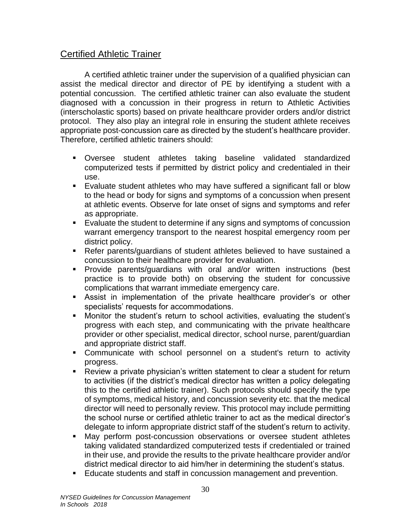## <span id="page-35-0"></span>Certified Athletic Trainer

A certified athletic trainer under the supervision of a qualified physician can assist the medical director and director of PE by identifying a student with a potential concussion. The certified athletic trainer can also evaluate the student diagnosed with a concussion in their progress in return to Athletic Activities (interscholastic sports) based on private healthcare provider orders and/or district protocol. They also play an integral role in ensuring the student athlete receives appropriate post-concussion care as directed by the student's healthcare provider. Therefore, certified athletic trainers should:

- Oversee student athletes taking baseline validated standardized computerized tests if permitted by district policy and credentialed in their use.
- Evaluate student athletes who may have suffered a significant fall or blow to the head or body for signs and symptoms of a concussion when present at athletic events. Observe for late onset of signs and symptoms and refer as appropriate.
- Evaluate the student to determine if any signs and symptoms of concussion warrant emergency transport to the nearest hospital emergency room per district policy.
- Refer parents/guardians of student athletes believed to have sustained a concussion to their healthcare provider for evaluation.
- Provide parents/guardians with oral and/or written instructions (best practice is to provide both) on observing the student for concussive complications that warrant immediate emergency care.
- **EXEL** Assist in implementation of the private healthcare provider's or other specialists' requests for accommodations.
- Monitor the student's return to school activities, evaluating the student's progress with each step, and communicating with the private healthcare provider or other specialist, medical director, school nurse, parent/guardian and appropriate district staff.
- **EXECOMMUNICATE With school personnel on a student's return to activity** progress.
- Review a private physician's written statement to clear a student for return to activities (if the district's medical director has written a policy delegating this to the certified athletic trainer). Such protocols should specify the type of symptoms, medical history, and concussion severity etc. that the medical director will need to personally review. This protocol may include permitting the school nurse or certified athletic trainer to act as the medical director's delegate to inform appropriate district staff of the student's return to activity.
- May perform post-concussion observations or oversee student athletes taking validated standardized computerized tests if credentialed or trained in their use, and provide the results to the private healthcare provider and/or district medical director to aid him/her in determining the student's status.
- Educate students and staff in concussion management and prevention.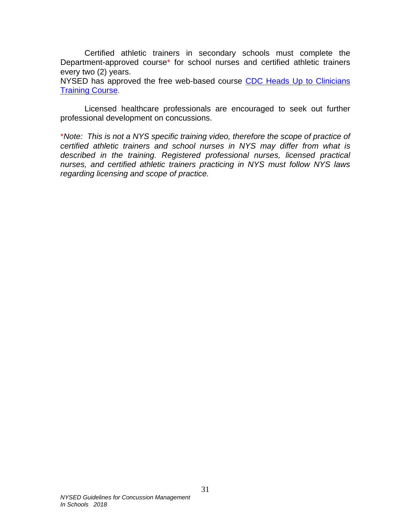Certified athletic trainers in secondary schools must complete the Department-approved course\* for school nurses and certified athletic trainers every two (2) years.

NYSED has approved the free web-based course CDC Heads Up to Clinicians [Training Course](https://www.cdc.gov/concussion/HeadsUp/clinicians/index.html).

Licensed healthcare professionals are encouraged to seek out further professional development on concussions.

\**Note: This is not a NYS specific training video, therefore the scope of practice of certified athletic trainers and school nurses in NYS may differ from what is described in the training. Registered professional nurses, licensed practical nurses, and certified athletic trainers practicing in NYS must follow NYS laws regarding licensing and scope of practice.*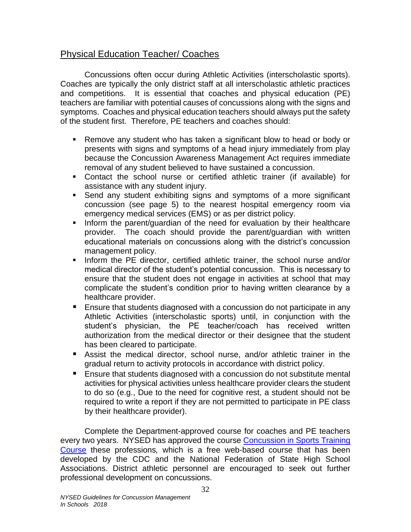# <span id="page-37-0"></span>Physical Education Teacher/ Coaches

Concussions often occur during Athletic Activities (interscholastic sports). Coaches are typically the only district staff at all interscholastic athletic practices and competitions. It is essential that coaches and physical education (PE) teachers are familiar with potential causes of concussions along with the signs and symptoms. Coaches and physical education teachers should always put the safety of the student first. Therefore, PE teachers and coaches should:

- Remove any student who has taken a significant blow to head or body or presents with signs and symptoms of a head injury immediately from play because the Concussion Awareness Management Act requires immediate removal of any student believed to have sustained a concussion.
- Contact the school nurse or certified athletic trainer (if available) for assistance with any student injury.
- **EXECT Send any student exhibiting signs and symptoms of a more significant** concussion (see page 5) to the nearest hospital emergency room via emergency medical services (EMS) or as per district policy.
- **EXT** Inform the parent/guardian of the need for evaluation by their healthcare provider. The coach should provide the parent/guardian with written educational materials on concussions along with the district's concussion management policy.
- **.** Inform the PE director, certified athletic trainer, the school nurse and/or medical director of the student's potential concussion. This is necessary to ensure that the student does not engage in activities at school that may complicate the student's condition prior to having written clearance by a healthcare provider.
- Ensure that students diagnosed with a concussion do not participate in any Athletic Activities (interscholastic sports) until, in conjunction with the student's physician, the PE teacher/coach has received written authorization from the medical director or their designee that the student has been cleared to participate.
- Assist the medical director, school nurse, and/or athletic trainer in the gradual return to activity protocols in accordance with district policy.
- Ensure that students diagnosed with a concussion do not substitute mental activities for physical activities unless healthcare provider clears the student to do so (e.g., Due to the need for cognitive rest, a student should not be required to write a report if they are not permitted to participate in PE class by their healthcare provider).

Complete the Department-approved course for coaches and PE teachers every two years. NYSED has approved the course [Concussion in Sports Training](https://nfhslearn.com/courses/61064/concussion-in-sports)  [Course](https://nfhslearn.com/courses/61064/concussion-in-sports) these professions*,* which is a free web-based course that has been developed by the CDC and the National Federation of State High School Associations. District athletic personnel are encouraged to seek out further professional development on concussions.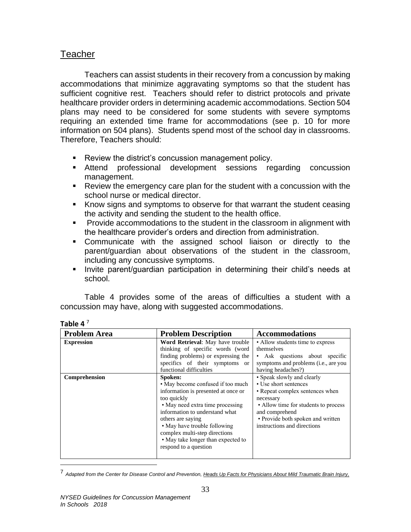## <span id="page-38-0"></span>**Teacher**

Teachers can assist students in their recovery from a concussion by making accommodations that minimize aggravating symptoms so that the student has sufficient cognitive rest. Teachers should refer to district protocols and private healthcare provider orders in determining academic accommodations. Section 504 plans may need to be considered for some students with severe symptoms requiring an extended time frame for accommodations (see p. 10 for more information on 504 plans). Students spend most of the school day in classrooms. Therefore, Teachers should:

- Review the district's concussion management policy.
- **EXTEDE Attend professional development sessions regarding concussion** management.
- Review the emergency care plan for the student with a concussion with the school nurse or medical director.
- Know signs and symptoms to observe for that warrant the student ceasing the activity and sending the student to the health office.
- **•** Provide accommodations to the student in the classroom in alignment with the healthcare provider's orders and direction from administration.
- Communicate with the assigned school liaison or directly to the parent/guardian about observations of the student in the classroom, including any concussive symptoms.
- **■** Invite parent/guardian participation in determining their child's needs at school.

Table 4 provides some of the areas of difficulties a student with a concussion may have, along with suggested accommodations.

| <b>Problem Area</b> | <b>Problem Description</b>                                                                                                                                                                                                                                                                                                    | <b>Accommodations</b>                                                                                                                                                                                                             |  |
|---------------------|-------------------------------------------------------------------------------------------------------------------------------------------------------------------------------------------------------------------------------------------------------------------------------------------------------------------------------|-----------------------------------------------------------------------------------------------------------------------------------------------------------------------------------------------------------------------------------|--|
| <b>Expression</b>   | Word Retrieval: May have trouble<br>thinking of specific words (word                                                                                                                                                                                                                                                          | • Allow students time to express<br>themselves                                                                                                                                                                                    |  |
|                     | finding problems) or expressing the<br>specifics of their symptoms or<br>functional difficulties                                                                                                                                                                                                                              | • Ask questions about specific<br>symptoms and problems (i.e., are you<br>having headaches?)                                                                                                                                      |  |
| Comprehension       | Spoken:<br>• May become confused if too much<br>information is presented at once or<br>too quickly<br>• May need extra time processing<br>information to understand what<br>others are saying<br>• May have trouble following<br>complex multi-step directions<br>• May take longer than expected to<br>respond to a question | • Speak slowly and clearly<br>• Use short sentences<br>• Repeat complex sentences when<br>necessary<br>• Allow time for students to process<br>and comprehend<br>• Provide both spoken and written<br>instructions and directions |  |

### **Table 4** $^7$

 $\overline{a}$ 

<sup>7</sup> *Adapted from the Center for Disease Control and Prevention, Heads Up Facts for Physicians About Mild Traumatic Brain Injury,*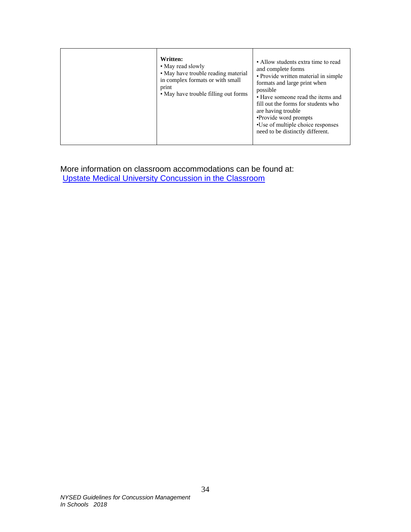|  | Written:<br>• May read slowly<br>• May have trouble reading material<br>in complex formats or with small<br>print<br>• May have trouble filling out forms | • Allow students extra time to read<br>and complete forms<br>• Provide written material in simple<br>formats and large print when<br>possible<br>• Have someone read the items and<br>fill out the forms for students who<br>are having trouble.<br>•Provide word prompts<br>•Use of multiple choice responses<br>need to be distinctly different. |
|--|-----------------------------------------------------------------------------------------------------------------------------------------------------------|----------------------------------------------------------------------------------------------------------------------------------------------------------------------------------------------------------------------------------------------------------------------------------------------------------------------------------------------------|
|--|-----------------------------------------------------------------------------------------------------------------------------------------------------------|----------------------------------------------------------------------------------------------------------------------------------------------------------------------------------------------------------------------------------------------------------------------------------------------------------------------------------------------------|

More information on classroom accommodations can be found at: [Upstate Medical University Concussion in the Classroom](http://www.upstate.edu/pmr/healthcare/programs/concussion/classroom.php)